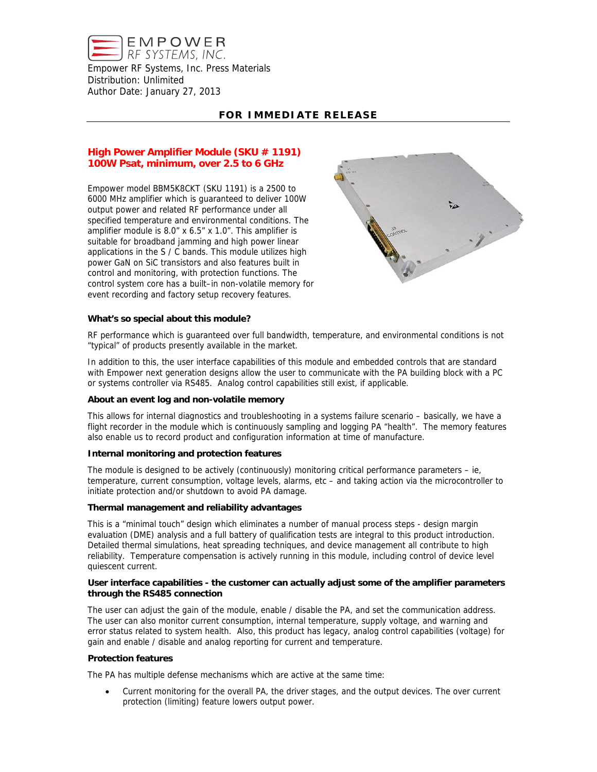

Empower RF Systems, Inc. Press Materials Distribution: Unlimited Author Date: January 27, 2013

# **FOR IMMEDIATE RELEASE**

## **High Power Amplifier Module (SKU # 1191) 100W Psat, minimum, over 2.5 to 6 GHz**

Empower model BBM5K8CKT (SKU 1191) is a 2500 to 6000 MHz amplifier which is guaranteed to deliver 100W output power and related RF performance under all specified temperature and environmental conditions. The amplifier module is 8.0" x 6.5" x 1.0". This amplifier is suitable for broadband jamming and high power linear applications in the S / C bands. This module utilizes high power GaN on SiC transistors and also features built in control and monitoring, with protection functions. The control system core has a built–in non-volatile memory for event recording and factory setup recovery features.



#### **What's so special about this module?**

RF performance which is guaranteed over full bandwidth, temperature, and environmental conditions is not "typical" of products presently available in the market.

In addition to this, the user interface capabilities of this module and embedded controls that are standard with Empower next generation designs allow the user to communicate with the PA building block with a PC or systems controller via RS485. Analog control capabilities still exist, if applicable.

#### **About an event log and non-volatile memory**

This allows for internal diagnostics and troubleshooting in a systems failure scenario – basically, we have a flight recorder in the module which is continuously sampling and logging PA "health". The memory features also enable us to record product and configuration information at time of manufacture.

### **Internal monitoring and protection features**

The module is designed to be actively (continuously) monitoring critical performance parameters – ie, temperature, current consumption, voltage levels, alarms, etc – and taking action via the microcontroller to initiate protection and/or shutdown to avoid PA damage.

#### **Thermal management and reliability advantages**

This is a "minimal touch" design which eliminates a number of manual process steps - design margin evaluation (DME) analysis and a full battery of qualification tests are integral to this product introduction. Detailed thermal simulations, heat spreading techniques, and device management all contribute to high reliability. Temperature compensation is actively running in this module, including control of device level quiescent current.

#### **User interface capabilities - the customer can actually adjust some of the amplifier parameters through the RS485 connection**

The user can adjust the gain of the module, enable / disable the PA, and set the communication address. The user can also monitor current consumption, internal temperature, supply voltage, and warning and error status related to system health. Also, this product has legacy, analog control capabilities (voltage) for gain and enable / disable and analog reporting for current and temperature.

#### **Protection features**

The PA has multiple defense mechanisms which are active at the same time:

 Current monitoring for the overall PA, the driver stages, and the output devices. The over current protection (limiting) feature lowers output power.